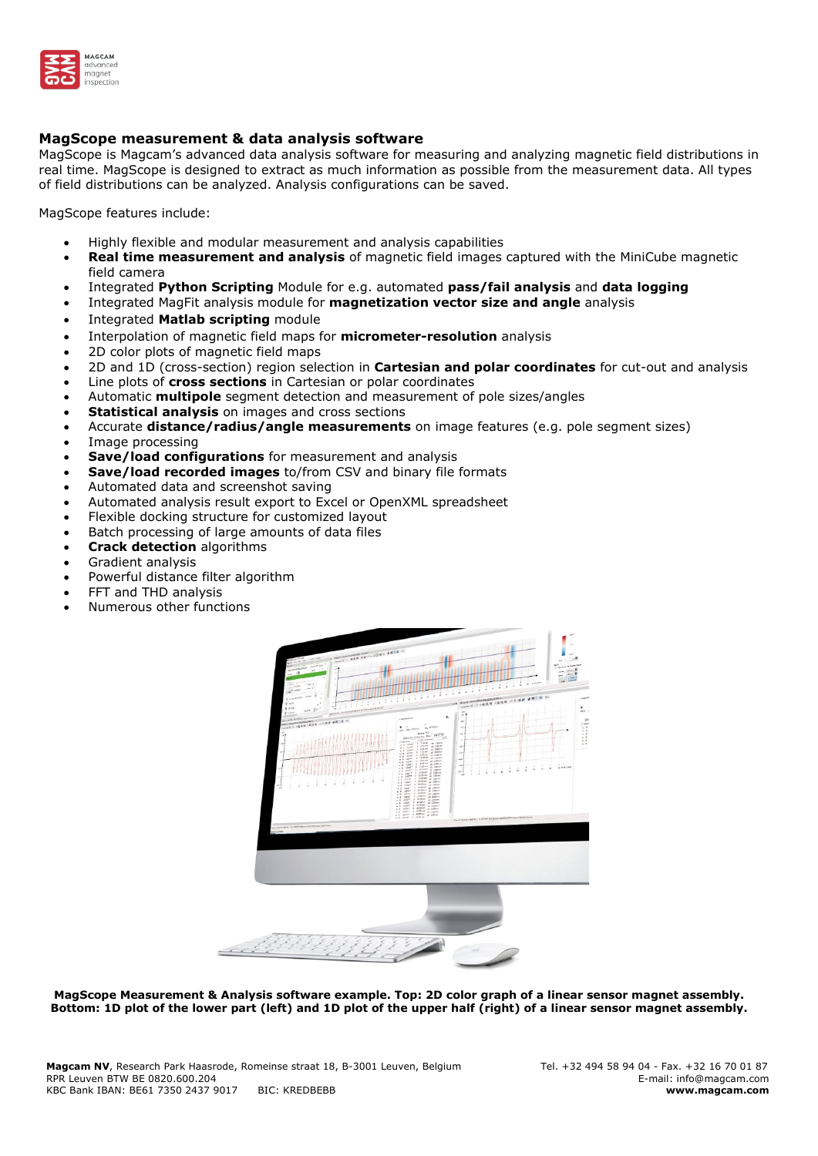

## **MagScope measurement & data analysis software**

MagScope is Magcam's advanced data analysis software for measuring and analyzing magnetic field distributions in real time. MagScope is designed to extract as much information as possible from the measurement data. All types of field distributions can be analyzed. Analysis configurations can be saved.

MagScope features include:

- Highly flexible and modular measurement and analysis capabilities
- **Real time measurement and analysis** of magnetic field images captured with the MiniCube magnetic field camera
- Integrated **Python Scripting** Module for e.g. automated **pass/fail analysis** and **data logging**
- Integrated MagFit analysis module for **magnetization vector size and angle** analysis
- Integrated **Matlab scripting** module
- Interpolation of magnetic field maps for **micrometer-resolution** analysis
- 2D color plots of magnetic field maps
- 2D and 1D (cross-section) region selection in **Cartesian and polar coordinates** for cut-out and analysis
- Line plots of **cross sections** in Cartesian or polar coordinates
- Automatic **multipole** segment detection and measurement of pole sizes/angles
- **Statistical analysis** on images and cross sections
- Accurate **distance/radius/angle measurements** on image features (e.g. pole segment sizes)
- Image processing
- **Save/load configurations** for measurement and analysis
- **Save/load recorded images** to/from CSV and binary file formats
- Automated data and screenshot saving
- Automated analysis result export to Excel or OpenXML spreadsheet
- Flexible docking structure for customized layout
- Batch processing of large amounts of data files
- **Crack detection** algorithms
- Gradient analysis
- Powerful distance filter algorithm
- FFT and THD analysis
- Numerous other functions



**MagScope Measurement & Analysis software example. Top: 2D color graph of a linear sensor magnet assembly. Bottom: 1D plot of the lower part (left) and 1D plot of the upper half (right) of a linear sensor magnet assembly.**